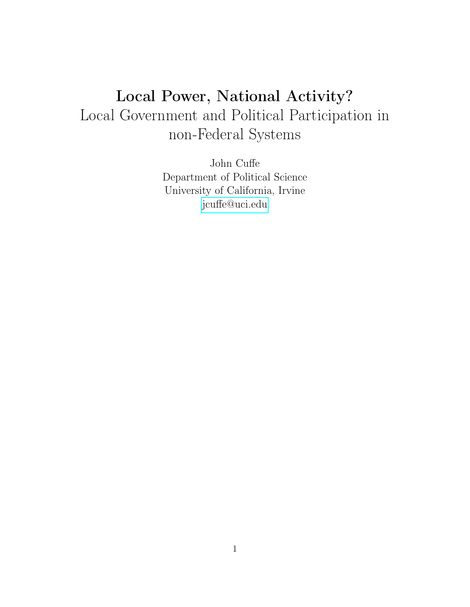# Local Power, National Activity? Local Government and Political Participation in non-Federal Systems

John Cuffe Department of Political Science University of California, Irvine [jcuffe@uci.edu](mailto:jcuffe@uci.edu)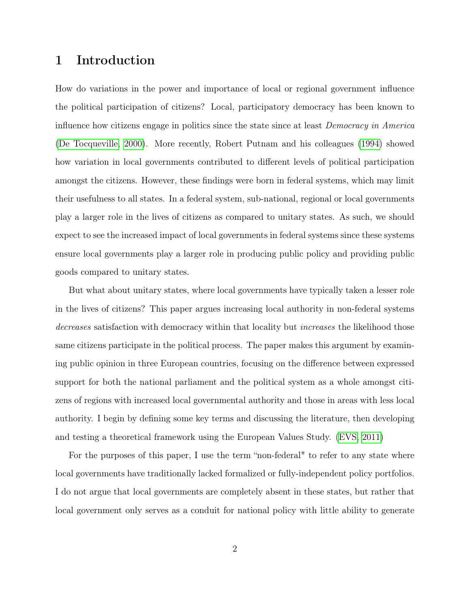## 1 Introduction

How do variations in the power and importance of local or regional government influence the political participation of citizens? Local, participatory democracy has been known to influence how citizens engage in politics since the state since at least Democracy in America [\(De Tocqueville, 2000\)](#page-22-0). More recently, Robert Putnam and his colleagues [\(1994\)](#page-23-0) showed how variation in local governments contributed to different levels of political participation amongst the citizens. However, these findings were born in federal systems, which may limit their usefulness to all states. In a federal system, sub-national, regional or local governments play a larger role in the lives of citizens as compared to unitary states. As such, we should expect to see the increased impact of local governments in federal systems since these systems ensure local governments play a larger role in producing public policy and providing public goods compared to unitary states.

But what about unitary states, where local governments have typically taken a lesser role in the lives of citizens? This paper argues increasing local authority in non-federal systems decreases satisfaction with democracy within that locality but *increases* the likelihood those same citizens participate in the political process. The paper makes this argument by examining public opinion in three European countries, focusing on the difference between expressed support for both the national parliament and the political system as a whole amongst citizens of regions with increased local governmental authority and those in areas with less local authority. I begin by defining some key terms and discussing the literature, then developing and testing a theoretical framework using the European Values Study. [\(EVS, 2011\)](#page-22-1)

For the purposes of this paper, I use the term "non-federal" to refer to any state where local governments have traditionally lacked formalized or fully-independent policy portfolios. I do not argue that local governments are completely absent in these states, but rather that local government only serves as a conduit for national policy with little ability to generate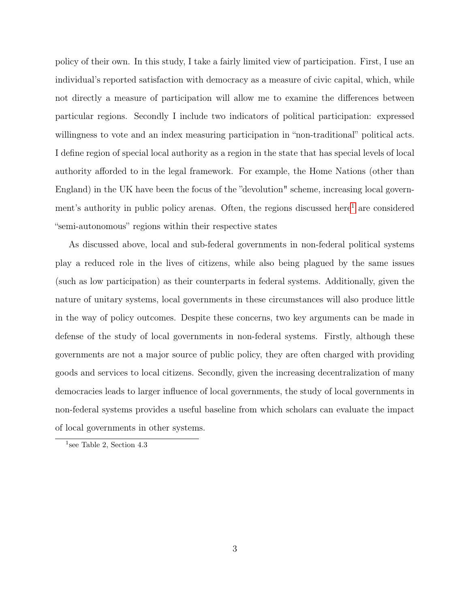policy of their own. In this study, I take a fairly limited view of participation. First, I use an individual's reported satisfaction with democracy as a measure of civic capital, which, while not directly a measure of participation will allow me to examine the differences between particular regions. Secondly I include two indicators of political participation: expressed willingness to vote and an index measuring participation in "non-traditional" political acts. I define region of special local authority as a region in the state that has special levels of local authority afforded to in the legal framework. For example, the Home Nations (other than England) in the UK have been the focus of the "devolution" scheme, increasing local govern-ment's authority in public policy arenas. Often, the regions discussed here<sup>[1](#page-2-0)</sup> are considered "semi-autonomous" regions within their respective states

As discussed above, local and sub-federal governments in non-federal political systems play a reduced role in the lives of citizens, while also being plagued by the same issues (such as low participation) as their counterparts in federal systems. Additionally, given the nature of unitary systems, local governments in these circumstances will also produce little in the way of policy outcomes. Despite these concerns, two key arguments can be made in defense of the study of local governments in non-federal systems. Firstly, although these governments are not a major source of public policy, they are often charged with providing goods and services to local citizens. Secondly, given the increasing decentralization of many democracies leads to larger influence of local governments, the study of local governments in non-federal systems provides a useful baseline from which scholars can evaluate the impact of local governments in other systems.

<span id="page-2-0"></span><sup>1</sup> see Table 2, Section 4.3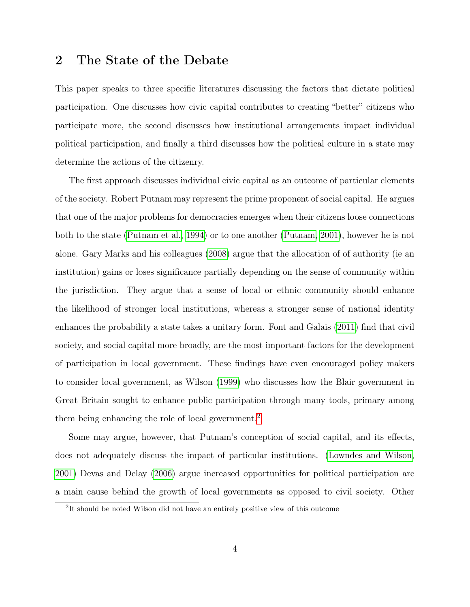## 2 The State of the Debate

This paper speaks to three specific literatures discussing the factors that dictate political participation. One discusses how civic capital contributes to creating "better" citizens who participate more, the second discusses how institutional arrangements impact individual political participation, and finally a third discusses how the political culture in a state may determine the actions of the citizenry.

The first approach discusses individual civic capital as an outcome of particular elements of the society. Robert Putnam may represent the prime proponent of social capital. He argues that one of the major problems for democracies emerges when their citizens loose connections both to the state [\(Putnam et al., 1994\)](#page-23-0) or to one another [\(Putnam, 2001\)](#page-23-1), however he is not alone. Gary Marks and his colleagues [\(2008\)](#page-23-2) argue that the allocation of of authority (ie an institution) gains or loses significance partially depending on the sense of community within the jurisdiction. They argue that a sense of local or ethnic community should enhance the likelihood of stronger local institutions, whereas a stronger sense of national identity enhances the probability a state takes a unitary form. Font and Galais [\(2011\)](#page-22-2) find that civil society, and social capital more broadly, are the most important factors for the development of participation in local government. These findings have even encouraged policy makers to consider local government, as Wilson [\(1999\)](#page-23-3) who discusses how the Blair government in Great Britain sought to enhance public participation through many tools, primary among them being enhancing the role of local government.<sup>[2](#page-3-0)</sup>

Some may argue, however, that Putnam's conception of social capital, and its effects, does not adequately discuss the impact of particular institutions. [\(Lowndes and Wilson,](#page-23-4) [2001\)](#page-23-4) Devas and Delay [\(2006\)](#page-22-3) argue increased opportunities for political participation are a main cause behind the growth of local governments as opposed to civil society. Other

<span id="page-3-0"></span><sup>&</sup>lt;sup>2</sup>It should be noted Wilson did not have an entirely positive view of this outcome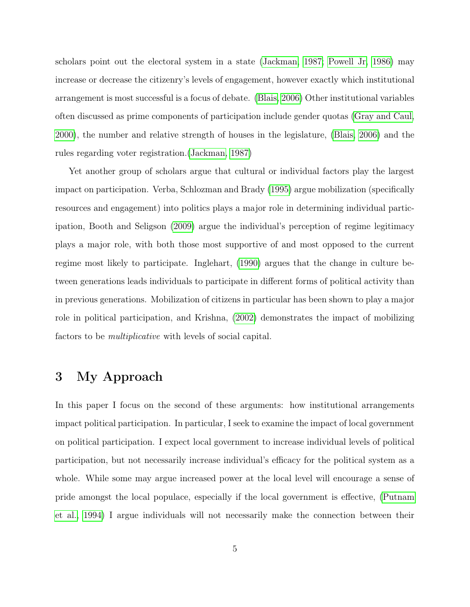scholars point out the electoral system in a state [\(Jackman, 1987;](#page-23-5) [Powell Jr, 1986\)](#page-23-6) may increase or decrease the citizenry's levels of engagement, however exactly which institutional arrangement is most successful is a focus of debate. [\(Blais, 2006\)](#page-22-4) Other institutional variables often discussed as prime components of participation include gender quotas [\(Gray and Caul,](#page-22-5) [2000\)](#page-22-5), the number and relative strength of houses in the legislature, [\(Blais, 2006\)](#page-22-4) and the rules regarding voter registration.[\(Jackman, 1987\)](#page-23-5)

Yet another group of scholars argue that cultural or individual factors play the largest impact on participation. Verba, Schlozman and Brady [\(1995\)](#page-23-7) argue mobilization (specifically resources and engagement) into politics plays a major role in determining individual participation, Booth and Seligson [\(2009\)](#page-22-6) argue the individual's perception of regime legitimacy plays a major role, with both those most supportive of and most opposed to the current regime most likely to participate. Inglehart, [\(1990\)](#page-22-7) argues that the change in culture between generations leads individuals to participate in different forms of political activity than in previous generations. Mobilization of citizens in particular has been shown to play a major role in political participation, and Krishna, [\(2002\)](#page-23-8) demonstrates the impact of mobilizing factors to be multiplicative with levels of social capital.

# 3 My Approach

In this paper I focus on the second of these arguments: how institutional arrangements impact political participation. In particular, I seek to examine the impact of local government on political participation. I expect local government to increase individual levels of political participation, but not necessarily increase individual's efficacy for the political system as a whole. While some may argue increased power at the local level will encourage a sense of pride amongst the local populace, especially if the local government is effective, [\(Putnam](#page-23-0) [et al., 1994\)](#page-23-0) I argue individuals will not necessarily make the connection between their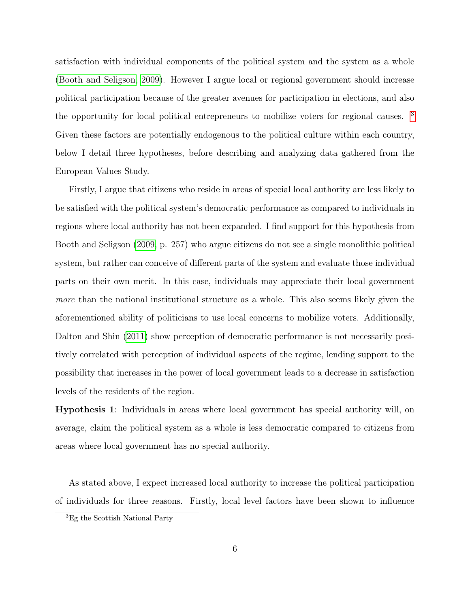satisfaction with individual components of the political system and the system as a whole [\(Booth and Seligson, 2009\)](#page-22-6). However I argue local or regional government should increase political participation because of the greater avenues for participation in elections, and also the opportunity for local political entrepreneurs to mobilize voters for regional causes. [3](#page-5-0) Given these factors are potentially endogenous to the political culture within each country, below I detail three hypotheses, before describing and analyzing data gathered from the European Values Study.

Firstly, I argue that citizens who reside in areas of special local authority are less likely to be satisfied with the political system's democratic performance as compared to individuals in regions where local authority has not been expanded. I find support for this hypothesis from Booth and Seligson [\(2009,](#page-22-6) p. 257) who argue citizens do not see a single monolithic political system, but rather can conceive of different parts of the system and evaluate those individual parts on their own merit. In this case, individuals may appreciate their local government more than the national institutional structure as a whole. This also seems likely given the aforementioned ability of politicians to use local concerns to mobilize voters. Additionally, Dalton and Shin [\(2011\)](#page-22-8) show perception of democratic performance is not necessarily positively correlated with perception of individual aspects of the regime, lending support to the possibility that increases in the power of local government leads to a decrease in satisfaction levels of the residents of the region.

Hypothesis 1: Individuals in areas where local government has special authority will, on average, claim the political system as a whole is less democratic compared to citizens from areas where local government has no special authority.

As stated above, I expect increased local authority to increase the political participation of individuals for three reasons. Firstly, local level factors have been shown to influence

<span id="page-5-0"></span><sup>3</sup>Eg the Scottish National Party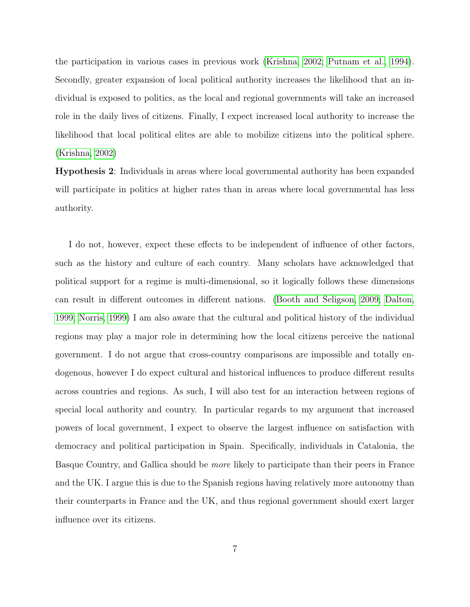the participation in various cases in previous work [\(Krishna, 2002;](#page-23-8) [Putnam et al., 1994\)](#page-23-0). Secondly, greater expansion of local political authority increases the likelihood that an individual is exposed to politics, as the local and regional governments will take an increased role in the daily lives of citizens. Finally, I expect increased local authority to increase the likelihood that local political elites are able to mobilize citizens into the political sphere. [\(Krishna, 2002\)](#page-23-8)

Hypothesis 2: Individuals in areas where local governmental authority has been expanded will participate in politics at higher rates than in areas where local governmental has less authority.

I do not, however, expect these effects to be independent of influence of other factors, such as the history and culture of each country. Many scholars have acknowledged that political support for a regime is multi-dimensional, so it logically follows these dimensions can result in different outcomes in different nations. [\(Booth and Seligson, 2009;](#page-22-6) [Dalton,](#page-22-9) [1999;](#page-22-9) [Norris, 1999\)](#page-23-9) I am also aware that the cultural and political history of the individual regions may play a major role in determining how the local citizens perceive the national government. I do not argue that cross-country comparisons are impossible and totally endogenous, however I do expect cultural and historical influences to produce different results across countries and regions. As such, I will also test for an interaction between regions of special local authority and country. In particular regards to my argument that increased powers of local government, I expect to observe the largest influence on satisfaction with democracy and political participation in Spain. Specifically, individuals in Catalonia, the Basque Country, and Gallica should be more likely to participate than their peers in France and the UK. I argue this is due to the Spanish regions having relatively more autonomy than their counterparts in France and the UK, and thus regional government should exert larger influence over its citizens.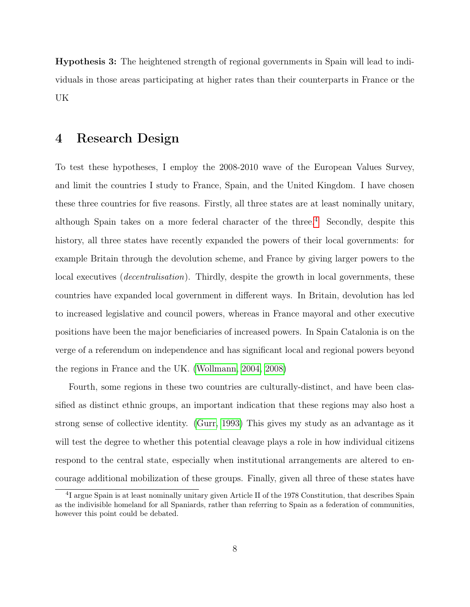Hypothesis 3: The heightened strength of regional governments in Spain will lead to individuals in those areas participating at higher rates than their counterparts in France or the UK

## 4 Research Design

To test these hypotheses, I employ the 2008-2010 wave of the European Values Survey, and limit the countries I study to France, Spain, and the United Kingdom. I have chosen these three countries for five reasons. Firstly, all three states are at least nominally unitary, although Spain takes on a more federal character of the three.<sup>[4](#page-7-0)</sup> Secondly, despite this history, all three states have recently expanded the powers of their local governments: for example Britain through the devolution scheme, and France by giving larger powers to the local executives (*decentralisation*). Thirdly, despite the growth in local governments, these countries have expanded local government in different ways. In Britain, devolution has led to increased legislative and council powers, whereas in France mayoral and other executive positions have been the major beneficiaries of increased powers. In Spain Catalonia is on the verge of a referendum on independence and has significant local and regional powers beyond the regions in France and the UK. [\(Wollmann, 2004,](#page-23-10) [2008\)](#page-23-11)

Fourth, some regions in these two countries are culturally-distinct, and have been classified as distinct ethnic groups, an important indication that these regions may also host a strong sense of collective identity. [\(Gurr, 1993\)](#page-22-10) This gives my study as an advantage as it will test the degree to whether this potential cleavage plays a role in how individual citizens respond to the central state, especially when institutional arrangements are altered to encourage additional mobilization of these groups. Finally, given all three of these states have

<span id="page-7-0"></span><sup>&</sup>lt;sup>4</sup>I argue Spain is at least nominally unitary given Article II of the 1978 Constitution, that describes Spain as the indivisible homeland for all Spaniards, rather than referring to Spain as a federation of communities, however this point could be debated.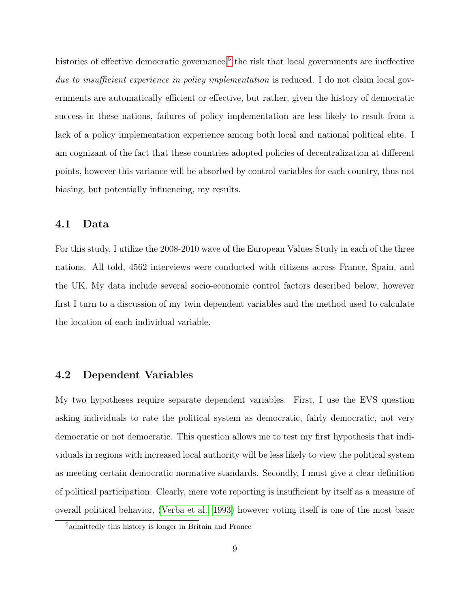histories of effective democratic governance,<sup>[5](#page-8-0)</sup> the risk that local governments are ineffective due to insufficient experience in policy implementation is reduced. I do not claim local governments are automatically efficient or effective, but rather, given the history of democratic success in these nations, failures of policy implementation are less likely to result from a lack of a policy implementation experience among both local and national political elite. I am cognizant of the fact that these countries adopted policies of decentralization at different points, however this variance will be absorbed by control variables for each country, thus not biasing, but potentially influencing, my results.

#### 4.1 Data

For this study, I utilize the 2008-2010 wave of the European Values Study in each of the three nations. All told, 4562 interviews were conducted with citizens across France, Spain, and the UK. My data include several socio-economic control factors described below, however first I turn to a discussion of my twin dependent variables and the method used to calculate the location of each individual variable.

#### 4.2 Dependent Variables

My two hypotheses require separate dependent variables. First, I use the EVS question asking individuals to rate the political system as democratic, fairly democratic, not very democratic or not democratic. This question allows me to test my first hypothesis that individuals in regions with increased local authority will be less likely to view the political system as meeting certain democratic normative standards. Secondly, I must give a clear definition of political participation. Clearly, mere vote reporting is insufficient by itself as a measure of overall political behavior, [\(Verba et al., 1993\)](#page-23-12) however voting itself is one of the most basic

<span id="page-8-0"></span><sup>5</sup>admittedly this history is longer in Britain and France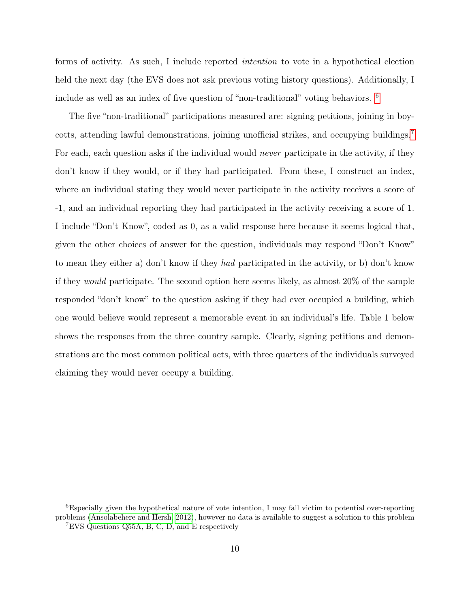forms of activity. As such, I include reported intention to vote in a hypothetical election held the next day (the EVS does not ask previous voting history questions). Additionally, I include as well as an index of five question of "non-traditional" voting behaviors. [6](#page-9-0)

The five "non-traditional" participations measured are: signing petitions, joining in boy-cotts, attending lawful demonstrations, joining unofficial strikes, and occupying buildings.<sup>[7](#page-9-1)</sup> For each, each question asks if the individual would *never* participate in the activity, if they don't know if they would, or if they had participated. From these, I construct an index, where an individual stating they would never participate in the activity receives a score of -1, and an individual reporting they had participated in the activity receiving a score of 1. I include "Don't Know", coded as 0, as a valid response here because it seems logical that, given the other choices of answer for the question, individuals may respond "Don't Know" to mean they either a) don't know if they had participated in the activity, or b) don't know if they would participate. The second option here seems likely, as almost 20% of the sample responded "don't know" to the question asking if they had ever occupied a building, which one would believe would represent a memorable event in an individual's life. Table 1 below shows the responses from the three country sample. Clearly, signing petitions and demonstrations are the most common political acts, with three quarters of the individuals surveyed claiming they would never occupy a building.

<span id="page-9-1"></span><span id="page-9-0"></span> ${}^{6}$ Especially given the hypothetical nature of vote intention, I may fall victim to potential over-reporting problems [\(Ansolabehere and Hersh, 2012\)](#page-22-11), however no data is available to suggest a solution to this problem <sup>7</sup>EVS Questions Q55A, B, C, D, and E respectively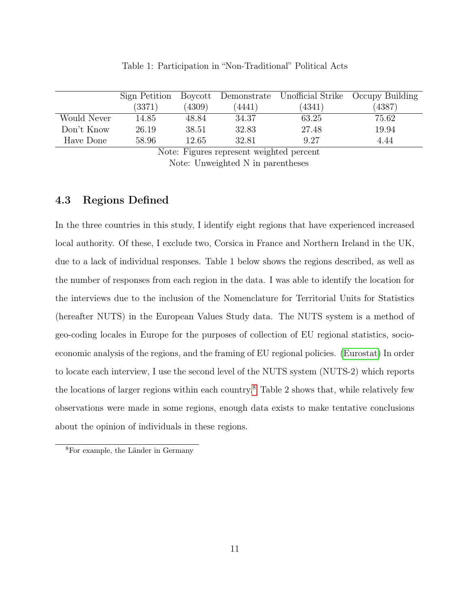|             | Sign Petition |        |        |        | Boycott Demonstrate Unofficial Strike Occupy Building |
|-------------|---------------|--------|--------|--------|-------------------------------------------------------|
|             | (3371)        | (4309) | (4441) | (4341) | (4387)                                                |
| Would Never | 14.85         | 48.84  | 34.37  | 63.25  | 75.62                                                 |
| Don't Know  | 26.19         | 38.51  | 32.83  | 27.48  | 19.94                                                 |
| Have Done   | 58.96         | 12.65  | 32.81  | 9.27   | 4.44                                                  |

Table 1: Participation in "Non-Traditional" Political Acts

Note: Figures represent weighted percent Note: Unweighted N in parentheses

### 4.3 Regions Defined

In the three countries in this study, I identify eight regions that have experienced increased local authority. Of these, I exclude two, Corsica in France and Northern Ireland in the UK, due to a lack of individual responses. Table 1 below shows the regions described, as well as the number of responses from each region in the data. I was able to identify the location for the interviews due to the inclusion of the Nomenclature for Territorial Units for Statistics (hereafter NUTS) in the European Values Study data. The NUTS system is a method of geo-coding locales in Europe for the purposes of collection of EU regional statistics, socioeconomic analysis of the regions, and the framing of EU regional policies. [\(Eurostat\)](#page-22-12) In order to locate each interview, I use the second level of the NUTS system (NUTS-2) which reports the locations of larger regions within each country.[8](#page-10-0) Table 2 shows that, while relatively few observations were made in some regions, enough data exists to make tentative conclusions about the opinion of individuals in these regions.

<span id="page-10-0"></span><sup>8</sup>For example, the Länder in Germany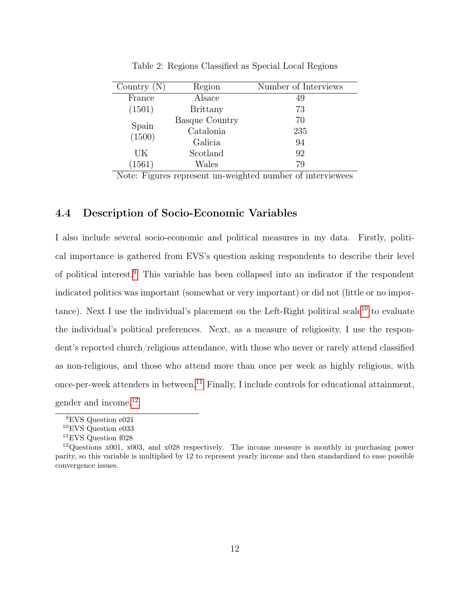| Country $(N)$   | Region                | Number of Interviews |
|-----------------|-----------------------|----------------------|
| France          | Alsace                | 49                   |
| (1501)          | <b>Brittany</b>       | 73                   |
|                 | <b>Basque Country</b> | 70                   |
| Spain<br>(1500) | Catalonia             | 235                  |
|                 | Galicia               | 94                   |
| UК              | Scotland              | 92                   |
| (1561)          | Wales                 | 79                   |
|                 |                       |                      |

Table 2: Regions Classified as Special Local Regions

Note: Figures represent un-weighted number of interviewees

## 4.4 Description of Socio-Economic Variables

I also include several socio-economic and political measures in my data. Firstly, political importance is gathered from EVS's question asking respondents to describe their level of political interest.[9](#page-11-0) This variable has been collapsed into an indicator if the respondent indicated politics was important (somewhat or very important) or did not (little or no impor-tance). Next I use the individual's placement on the Left-Right political scale<sup>[10](#page-11-1)</sup> to evaluate the individual's political preferences. Next, as a measure of religiosity, I use the respondent's reported church/religious attendance, with those who never or rarely attend classified as non-religious, and those who attend more than once per week as highly religious, with once-per-week attenders in between.<sup>[11](#page-11-2)</sup> Finally, I include controls for educational attainment, gender and income.[12](#page-11-3)

<span id="page-11-0"></span><sup>9</sup>EVS Question e021

<span id="page-11-1"></span><sup>10</sup>EVS Question e033

<span id="page-11-3"></span><span id="page-11-2"></span><sup>11</sup>EVS Question f028

<sup>&</sup>lt;sup>12</sup>Questions  $x001$ ,  $x003$ , and  $x028$  respectively. The income measure is monthly in purchasing power parity, so this variable is multiplied by 12 to represent yearly income and then standardized to ease possible convergence issues.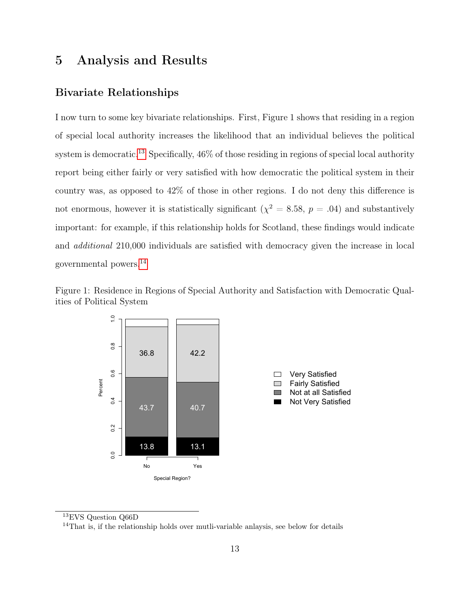## 5 Analysis and Results

### Bivariate Relationships

I now turn to some key bivariate relationships. First, Figure 1 shows that residing in a region of special local authority increases the likelihood that an individual believes the political system is democratic.[13](#page-12-0) Specifically, 46% of those residing in regions of special local authority report being either fairly or very satisfied with how democratic the political system in their country was, as opposed to 42% of those in other regions. I do not deny this difference is not enormous, however it is statistically significant  $(\chi^2 = 8.58, p = .04)$  and substantively important: for example, if this relationship holds for Scotland, these findings would indicate and additional 210,000 individuals are satisfied with democracy given the increase in local governmental powers.[14](#page-12-1)





<span id="page-12-0"></span><sup>13</sup>EVS Question Q66D

<span id="page-12-1"></span><sup>14</sup>That is, if the relationship holds over mutli-variable anlaysis, see below for details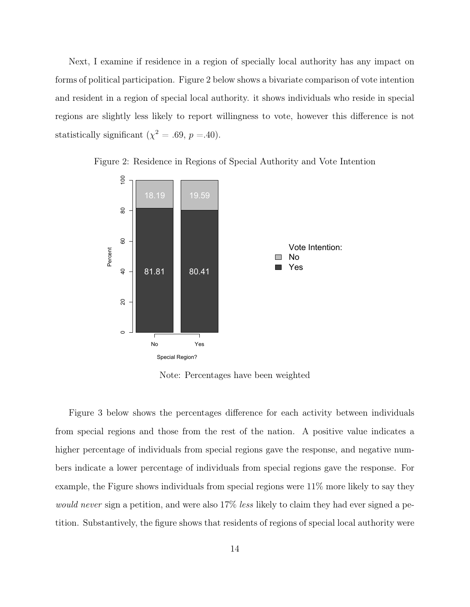Next, I examine if residence in a region of specially local authority has any impact on forms of political participation. Figure 2 below shows a bivariate comparison of vote intention and resident in a region of special local authority. it shows individuals who reside in special regions are slightly less likely to report willingness to vote, however this difference is not statistically significant ( $\chi^2 = .69$ ,  $p = .40$ ).



Figure 2: Residence in Regions of Special Authority and Vote Intention

Note: Percentages have been weighted

Figure 3 below shows the percentages difference for each activity between individuals from special regions and those from the rest of the nation. A positive value indicates a higher percentage of individuals from special regions gave the response, and negative numbers indicate a lower percentage of individuals from special regions gave the response. For example, the Figure shows individuals from special regions were 11% more likely to say they would never sign a petition, and were also 17% less likely to claim they had ever signed a petition. Substantively, the figure shows that residents of regions of special local authority were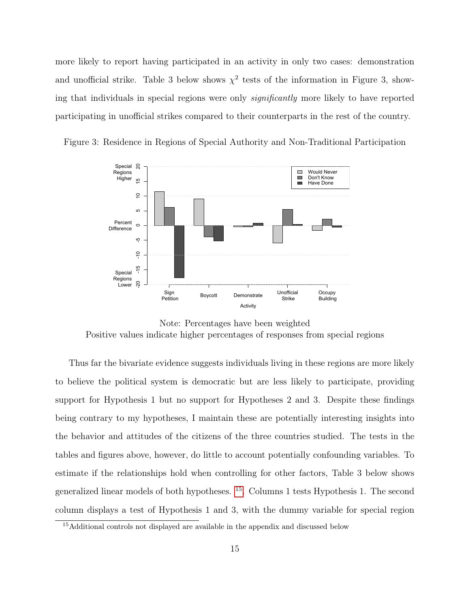more likely to report having participated in an activity in only two cases: demonstration and unofficial strike. Table 3 below shows  $\chi^2$  tests of the information in Figure 3, showing that individuals in special regions were only *significantly* more likely to have reported participating in unofficial strikes compared to their counterparts in the rest of the country.



Figure 3: Residence in Regions of Special Authority and Non-Traditional Participation

Note: Percentages have been weighted Positive values indicate higher percentages of responses from special regions

Thus far the bivariate evidence suggests individuals living in these regions are more likely to believe the political system is democratic but are less likely to participate, providing support for Hypothesis 1 but no support for Hypotheses 2 and 3. Despite these findings being contrary to my hypotheses, I maintain these are potentially interesting insights into the behavior and attitudes of the citizens of the three countries studied. The tests in the tables and figures above, however, do little to account potentially confounding variables. To estimate if the relationships hold when controlling for other factors, Table 3 below shows generalized linear models of both hypotheses. [15](#page-14-0). Columns 1 tests Hypothesis 1. The second column displays a test of Hypothesis 1 and 3, with the dummy variable for special region

<span id="page-14-0"></span><sup>&</sup>lt;sup>15</sup>Additional controls not displayed are available in the appendix and discussed below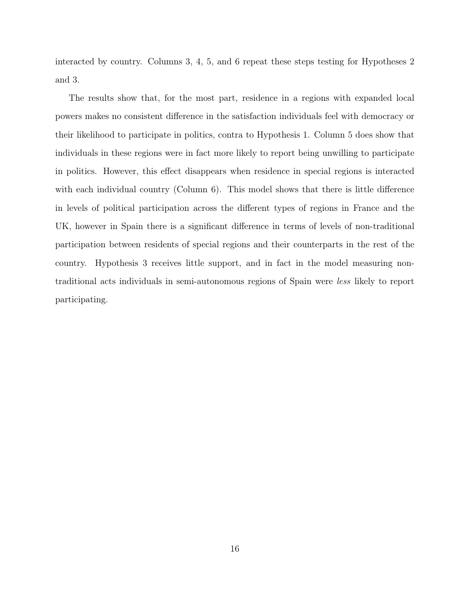interacted by country. Columns 3, 4, 5, and 6 repeat these steps testing for Hypotheses 2 and 3.

The results show that, for the most part, residence in a regions with expanded local powers makes no consistent difference in the satisfaction individuals feel with democracy or their likelihood to participate in politics, contra to Hypothesis 1. Column 5 does show that individuals in these regions were in fact more likely to report being unwilling to participate in politics. However, this effect disappears when residence in special regions is interacted with each individual country (Column  $6$ ). This model shows that there is little difference in levels of political participation across the different types of regions in France and the UK, however in Spain there is a significant difference in terms of levels of non-traditional participation between residents of special regions and their counterparts in the rest of the country. Hypothesis 3 receives little support, and in fact in the model measuring nontraditional acts individuals in semi-autonomous regions of Spain were less likely to report participating.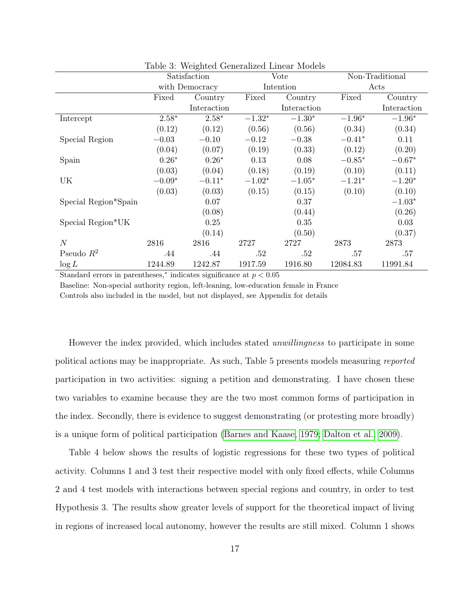|                      | Table of Weighted Octionalized Effical Models |             |          |             |                 |             |  |
|----------------------|-----------------------------------------------|-------------|----------|-------------|-----------------|-------------|--|
|                      | Satisfaction                                  |             | Vote     |             | Non-Traditional |             |  |
|                      | with Democracy                                |             |          | Intention   |                 | Acts        |  |
|                      | Fixed                                         | Country     | Fixed    | Country     | Fixed           | Country     |  |
|                      |                                               | Interaction |          | Interaction |                 | Interaction |  |
| Intercept            | $2.58*$                                       | $2.58*$     | $-1.32*$ | $-1.30*$    | $-1.96*$        | $-1.96*$    |  |
|                      | (0.12)                                        | (0.12)      | (0.56)   | (0.56)      | (0.34)          | (0.34)      |  |
| Special Region       | $-0.03$                                       | $-0.10$     | $-0.12$  | $-0.38$     | $-0.41*$        | 0.11        |  |
|                      | (0.04)                                        | (0.07)      | (0.19)   | (0.33)      | (0.12)          | (0.20)      |  |
| Spain                | $0.26*$                                       | $0.26*$     | 0.13     | 0.08        | $-0.85*$        | $-0.67*$    |  |
|                      | (0.03)                                        | (0.04)      | (0.18)   | (0.19)      | (0.10)          | (0.11)      |  |
| UK                   | $-0.09*$                                      | $-0.11*$    | $-1.02*$ | $-1.05*$    | $-1.21*$        | $-1.20*$    |  |
|                      | (0.03)                                        | (0.03)      | (0.15)   | (0.15)      | (0.10)          | (0.10)      |  |
| Special Region*Spain |                                               | 0.07        |          | 0.37        |                 | $-1.03*$    |  |
|                      |                                               | (0.08)      |          | (0.44)      |                 | (0.26)      |  |
| Special Region*UK    |                                               | 0.25        |          | 0.35        |                 | 0.03        |  |
|                      |                                               | (0.14)      |          | (0.50)      |                 | (0.37)      |  |
| $\overline{N}$       | 2816                                          | 2816        | 2727     | 2727        | 2873            | 2873        |  |
| Pseudo $R^2$         | .44                                           | .44         | .52      | .52         | .57             | .57         |  |
| $\log L$             | 1244.89                                       | 1242.87     | 1917.59  | 1916.80     | 12084.83        | 11991.84    |  |

Table 3: Weighted Generalized Linear Models

Standard errors in parentheses,<sup>\*</sup> indicates significance at  $p < 0.05$ 

Baseline: Non-special authority region, left-leaning, low-education female in France Controls also included in the model, but not displayed, see Appendix for details

However the index provided, which includes stated *unwillingness* to participate in some political actions may be inappropriate. As such, Table 5 presents models measuring reported participation in two activities: signing a petition and demonstrating. I have chosen these two variables to examine because they are the two most common forms of participation in the index. Secondly, there is evidence to suggest demonstrating (or protesting more broadly) is a unique form of political participation [\(Barnes and Kaase, 1979;](#page-22-13) [Dalton et al., 2009\)](#page-22-14).

Table 4 below shows the results of logistic regressions for these two types of political activity. Columns 1 and 3 test their respective model with only fixed effects, while Columns 2 and 4 test models with interactions between special regions and country, in order to test Hypothesis 3. The results show greater levels of support for the theoretical impact of living in regions of increased local autonomy, however the results are still mixed. Column 1 shows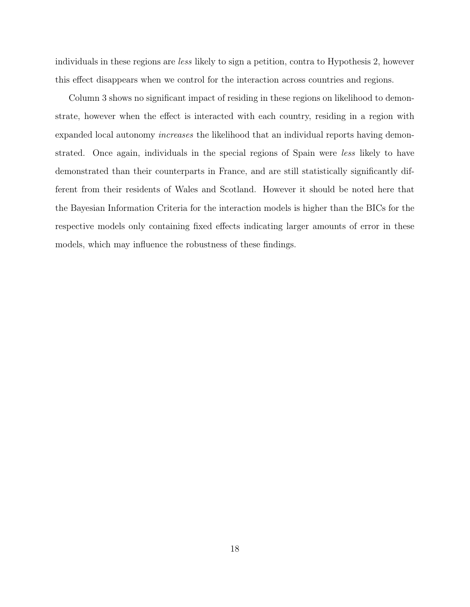individuals in these regions are less likely to sign a petition, contra to Hypothesis 2, however this effect disappears when we control for the interaction across countries and regions.

Column 3 shows no significant impact of residing in these regions on likelihood to demonstrate, however when the effect is interacted with each country, residing in a region with expanded local autonomy increases the likelihood that an individual reports having demonstrated. Once again, individuals in the special regions of Spain were less likely to have demonstrated than their counterparts in France, and are still statistically significantly different from their residents of Wales and Scotland. However it should be noted here that the Bayesian Information Criteria for the interaction models is higher than the BICs for the respective models only containing fixed effects indicating larger amounts of error in these models, which may influence the robustness of these findings.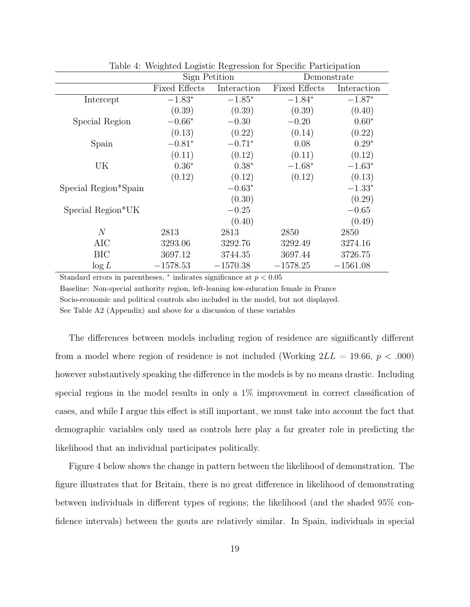|                      | Sign Petition        |             | Demonstrate          |             |  |
|----------------------|----------------------|-------------|----------------------|-------------|--|
|                      | <b>Fixed Effects</b> | Interaction | <b>Fixed Effects</b> | Interaction |  |
| Intercept            | $-1.83*$             | $-1.85*$    | $-1.84*$             | $-1.87*$    |  |
|                      | (0.39)               | (0.39)      | (0.39)               | (0.40)      |  |
| Special Region       | $-0.66*$             | $-0.30$     | $-0.20$              | $0.60*$     |  |
|                      | (0.13)               | (0.22)      | (0.14)               | (0.22)      |  |
| Spain                | $-0.81*$             | $-0.71*$    | 0.08                 | $0.29*$     |  |
|                      | (0.11)               | (0.12)      | (0.11)               | (0.12)      |  |
| UK                   | $0.36*$              | $0.38*$     | $-1.68*$             | $-1.63*$    |  |
|                      | (0.12)               | (0.12)      | (0.12)               | (0.13)      |  |
| Special Region*Spain |                      | $-0.63*$    |                      | $-1.33*$    |  |
|                      |                      | (0.30)      |                      | (0.29)      |  |
| Special Region*UK    |                      | $-0.25$     |                      | $-0.65$     |  |
|                      |                      | (0.40)      |                      | (0.49)      |  |
| $\overline{N}$       | 2813                 | 2813        | 2850                 | 2850        |  |
| AIC                  | 3293.06              | 3292.76     | 3292.49              | 3274.16     |  |
| <b>BIC</b>           | 3697.12              | 3744.35     | 3697.44              | 3726.75     |  |
| $\log L$             | $-1578.53$           | $-1570.38$  | $-1578.25$           | $-1561.08$  |  |

Table 4: Weighted Logistic Regression for Specific Participation

Standard errors in parentheses,  $*$  indicates significance at  $p < 0.05$ 

Baseline: Non-special authority region, left-leaning low-education female in France Socio-economic and political controls also included in the model, but not displayed. See Table A2 (Appendix) and above for a discussion of these variables

The differences between models including region of residence are significantly different from a model where region of residence is not included (Working  $2LL = 19.66, p < .000$ ) however substantively speaking the difference in the models is by no means drastic. Including special regions in the model results in only a 1% improvement in correct classification of cases, and while I argue this effect is still important, we must take into account the fact that demographic variables only used as controls here play a far greater role in predicting the likelihood that an individual participates politically.

Figure 4 below shows the change in pattern between the likelihood of demonstration. The figure illustrates that for Britain, there is no great difference in likelihood of demonstrating between individuals in different types of regions; the likelihood (and the shaded 95% confidence intervals) between the gouts are relatively similar. In Spain, individuals in special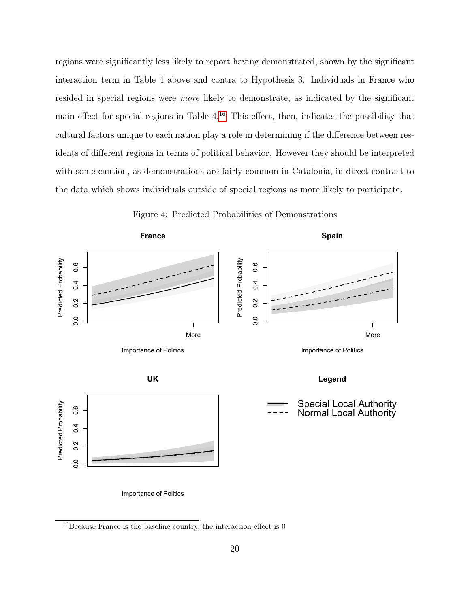regions were significantly less likely to report having demonstrated, shown by the significant interaction term in Table 4 above and contra to Hypothesis 3. Individuals in France who resided in special regions were more likely to demonstrate, as indicated by the significant main effect for special regions in Table  $4^{16}$  $4^{16}$  $4^{16}$ . This effect, then, indicates the possibility that cultural factors unique to each nation play a role in determining if the difference between residents of different regions in terms of political behavior. However they should be interpreted with some caution, as demonstrations are fairly common in Catalonia, in direct contrast to the data which shows individuals outside of special regions as more likely to participate.



Figure 4: Predicted Probabilities of Demonstrations

<span id="page-19-0"></span> $^{16}$  Because France is the baseline country, the interaction effect is  $0$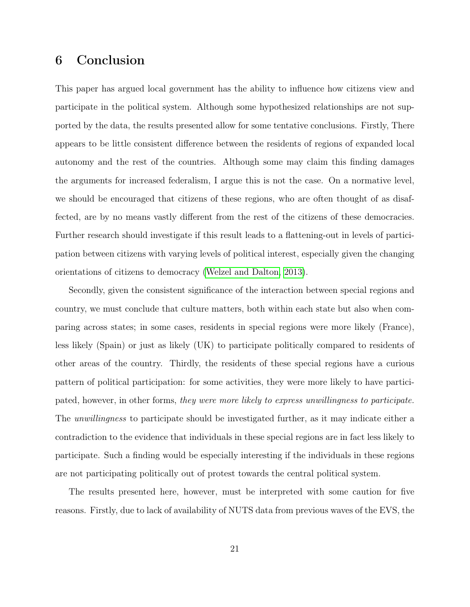## 6 Conclusion

This paper has argued local government has the ability to influence how citizens view and participate in the political system. Although some hypothesized relationships are not supported by the data, the results presented allow for some tentative conclusions. Firstly, There appears to be little consistent difference between the residents of regions of expanded local autonomy and the rest of the countries. Although some may claim this finding damages the arguments for increased federalism, I argue this is not the case. On a normative level, we should be encouraged that citizens of these regions, who are often thought of as disaffected, are by no means vastly different from the rest of the citizens of these democracies. Further research should investigate if this result leads to a flattening-out in levels of participation between citizens with varying levels of political interest, especially given the changing orientations of citizens to democracy [\(Welzel and Dalton, 2013\)](#page-23-13).

Secondly, given the consistent significance of the interaction between special regions and country, we must conclude that culture matters, both within each state but also when comparing across states; in some cases, residents in special regions were more likely (France), less likely (Spain) or just as likely (UK) to participate politically compared to residents of other areas of the country. Thirdly, the residents of these special regions have a curious pattern of political participation: for some activities, they were more likely to have participated, however, in other forms, they were more likely to express unwillingness to participate. The *unwillingness* to participate should be investigated further, as it may indicate either a contradiction to the evidence that individuals in these special regions are in fact less likely to participate. Such a finding would be especially interesting if the individuals in these regions are not participating politically out of protest towards the central political system.

The results presented here, however, must be interpreted with some caution for five reasons. Firstly, due to lack of availability of NUTS data from previous waves of the EVS, the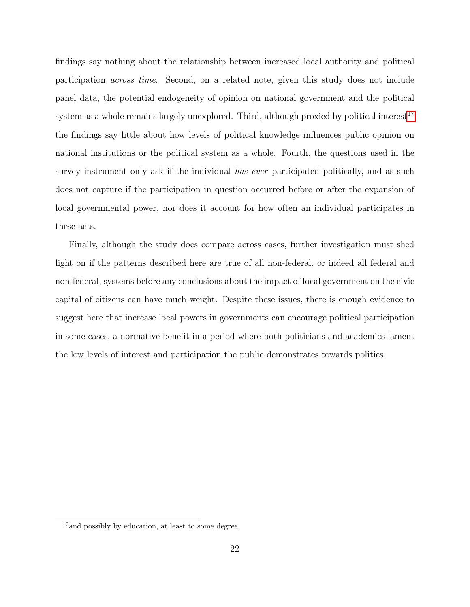findings say nothing about the relationship between increased local authority and political participation across time. Second, on a related note, given this study does not include panel data, the potential endogeneity of opinion on national government and the political system as a whole remains largely unexplored. Third, although proxied by political interest<sup>[17](#page-21-0)</sup> the findings say little about how levels of political knowledge influences public opinion on national institutions or the political system as a whole. Fourth, the questions used in the survey instrument only ask if the individual has ever participated politically, and as such does not capture if the participation in question occurred before or after the expansion of local governmental power, nor does it account for how often an individual participates in these acts.

Finally, although the study does compare across cases, further investigation must shed light on if the patterns described here are true of all non-federal, or indeed all federal and non-federal, systems before any conclusions about the impact of local government on the civic capital of citizens can have much weight. Despite these issues, there is enough evidence to suggest here that increase local powers in governments can encourage political participation in some cases, a normative benefit in a period where both politicians and academics lament the low levels of interest and participation the public demonstrates towards politics.

<span id="page-21-0"></span><sup>17</sup>and possibly by education, at least to some degree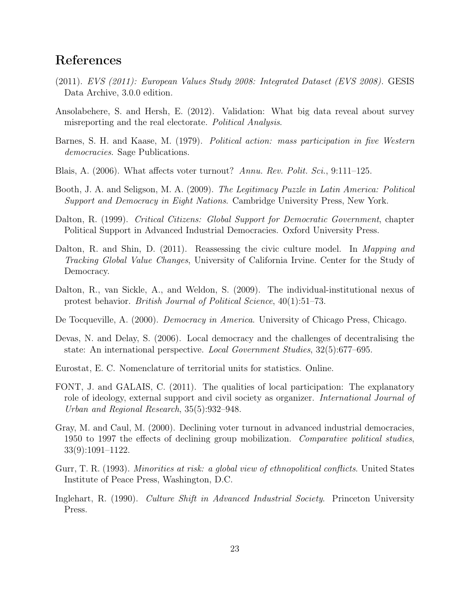## References

- <span id="page-22-1"></span>(2011). EVS (2011): European Values Study 2008: Integrated Dataset (EVS 2008). GESIS Data Archive, 3.0.0 edition.
- <span id="page-22-11"></span>Ansolabehere, S. and Hersh, E. (2012). Validation: What big data reveal about survey misreporting and the real electorate. Political Analysis.
- <span id="page-22-13"></span>Barnes, S. H. and Kaase, M. (1979). Political action: mass participation in five Western democracies. Sage Publications.
- <span id="page-22-4"></span>Blais, A. (2006). What affects voter turnout? Annu. Rev. Polit. Sci., 9:111–125.
- <span id="page-22-6"></span>Booth, J. A. and Seligson, M. A. (2009). The Legitimacy Puzzle in Latin America: Political Support and Democracy in Eight Nations. Cambridge University Press, New York.
- <span id="page-22-9"></span>Dalton, R. (1999). Critical Citizens: Global Support for Democratic Government, chapter Political Support in Advanced Industrial Democracies. Oxford University Press.
- <span id="page-22-8"></span>Dalton, R. and Shin, D. (2011). Reassessing the civic culture model. In Mapping and Tracking Global Value Changes, University of California Irvine. Center for the Study of Democracy.
- <span id="page-22-14"></span>Dalton, R., van Sickle, A., and Weldon, S. (2009). The individual-institutional nexus of protest behavior. British Journal of Political Science, 40(1):51–73.
- <span id="page-22-0"></span>De Tocqueville, A. (2000). *Democracy in America*. University of Chicago Press, Chicago.
- <span id="page-22-3"></span>Devas, N. and Delay, S. (2006). Local democracy and the challenges of decentralising the state: An international perspective. Local Government Studies, 32(5):677–695.
- <span id="page-22-12"></span>Eurostat, E. C. Nomenclature of territorial units for statistics. Online.
- <span id="page-22-2"></span>FONT, J. and GALAIS, C. (2011). The qualities of local participation: The explanatory role of ideology, external support and civil society as organizer. International Journal of Urban and Regional Research, 35(5):932–948.
- <span id="page-22-5"></span>Gray, M. and Caul, M. (2000). Declining voter turnout in advanced industrial democracies, 1950 to 1997 the effects of declining group mobilization. Comparative political studies, 33(9):1091–1122.
- <span id="page-22-10"></span>Gurr, T. R. (1993). Minorities at risk: a global view of ethnopolitical conflicts. United States Institute of Peace Press, Washington, D.C.
- <span id="page-22-7"></span>Inglehart, R. (1990). Culture Shift in Advanced Industrial Society. Princeton University Press.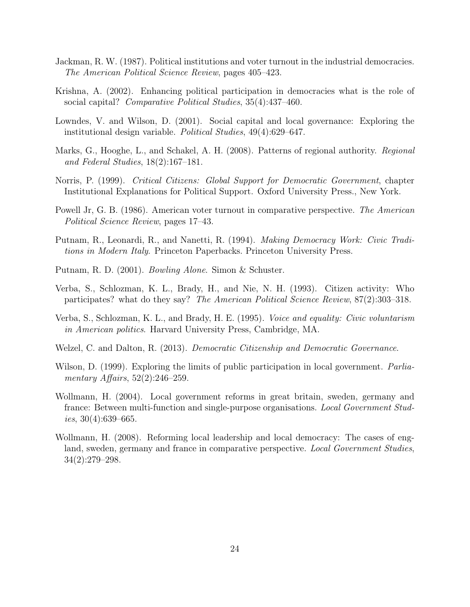- <span id="page-23-5"></span>Jackman, R. W. (1987). Political institutions and voter turnout in the industrial democracies. The American Political Science Review, pages 405–423.
- <span id="page-23-8"></span>Krishna, A. (2002). Enhancing political participation in democracies what is the role of social capital? Comparative Political Studies, 35(4):437-460.
- <span id="page-23-4"></span>Lowndes, V. and Wilson, D. (2001). Social capital and local governance: Exploring the institutional design variable. Political Studies, 49(4):629–647.
- <span id="page-23-2"></span>Marks, G., Hooghe, L., and Schakel, A. H. (2008). Patterns of regional authority. Regional and Federal Studies, 18(2):167–181.
- <span id="page-23-9"></span>Norris, P. (1999). Critical Citizens: Global Support for Democratic Government, chapter Institutional Explanations for Political Support. Oxford University Press., New York.
- <span id="page-23-6"></span>Powell Jr, G. B. (1986). American voter turnout in comparative perspective. The American Political Science Review, pages 17–43.
- <span id="page-23-0"></span>Putnam, R., Leonardi, R., and Nanetti, R. (1994). Making Democracy Work: Civic Traditions in Modern Italy. Princeton Paperbacks. Princeton University Press.
- <span id="page-23-1"></span>Putnam, R. D. (2001). Bowling Alone. Simon & Schuster.
- <span id="page-23-12"></span>Verba, S., Schlozman, K. L., Brady, H., and Nie, N. H. (1993). Citizen activity: Who participates? what do they say? The American Political Science Review, 87(2):303–318.
- <span id="page-23-7"></span>Verba, S., Schlozman, K. L., and Brady, H. E. (1995). Voice and equality: Civic voluntarism in American politics. Harvard University Press, Cambridge, MA.
- <span id="page-23-13"></span>Welzel, C. and Dalton, R. (2013). Democratic Citizenship and Democratic Governance.
- <span id="page-23-3"></span>Wilson, D. (1999). Exploring the limits of public participation in local government. *Parlia*mentary Affairs,  $52(2):246-259$ .
- <span id="page-23-10"></span>Wollmann, H. (2004). Local government reforms in great britain, sweden, germany and france: Between multi-function and single-purpose organisations. Local Government Studies,  $30(4):639-665$ .
- <span id="page-23-11"></span>Wollmann, H. (2008). Reforming local leadership and local democracy: The cases of england, sweden, germany and france in comparative perspective. Local Government Studies, 34(2):279–298.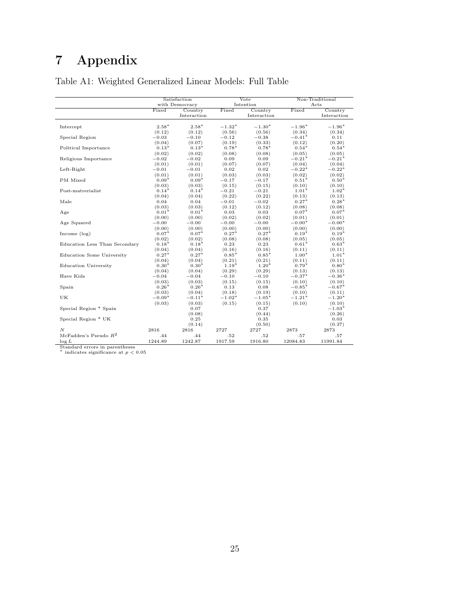# 7 Appendix

|                                            | Satisfaction   |                |                   | Vote              |                   | Non-Traditional   |  |
|--------------------------------------------|----------------|----------------|-------------------|-------------------|-------------------|-------------------|--|
|                                            | with Democracy |                |                   | Intention         |                   | Acts              |  |
|                                            | Fixed          | Country        | Fixed             | Country           | Fixed             | Country           |  |
|                                            |                | Interaction    |                   | Interaction       |                   | Interaction       |  |
|                                            |                |                |                   |                   |                   |                   |  |
| Intercept                                  | $2.58*$        | $2.58*$        | $-1.32*$          | $-1.30*$          | $-1.96*$          | $-1.96*$          |  |
|                                            | (0.12)         | (0.12)         | (0.56)            | (0.56)            | (0.34)            | (0.34)            |  |
| Special Region                             | $-0.03$        | $-0.10$        | $-0.12$           | $-0.38$           | $-0.41*$          | 0.11              |  |
|                                            | (0.04)         | (0.07)         | (0.19)            | (0.33)            | (0.12)            | (0.20)            |  |
| Political Importance                       | $0.13*$        | $0.13*$        | $0.78*$           | $0.78*$           | $0.54*$           | $0.54*$           |  |
|                                            | (0.02)         | (0.02)         | (0.08)            | (0.08)            | (0.05)            | (0.05)            |  |
| Religious Importance                       | $-0.02$        | $-0.02$        | 0.09              | 0.09              | $-0.21*$          | $-0.21*$          |  |
|                                            | (0.01)         | (0.01)         | (0.07)            | (0.07)            | (0.04)            | (0.04)            |  |
| Left-Right                                 | $-0.01$        | $-0.01$        | 0.02              | 0.02              | $-0.22*$          | $-0.22*$          |  |
|                                            | (0.01)         | (0.01)         | (0.03)            | (0.03)            | (0.02)            | (0.02)            |  |
| PM Mixed                                   | $0.09*$        | $0.09*$        | $-0.17$           | $-0.17$           | $0.51*$           | $0.50*$           |  |
|                                            | (0.03)         | (0.03)         | (0.15)            | (0.15)            | (0.10)            | (0.10)            |  |
| Post-matrerialist                          | $0.14*$        | $0.14*$        | $-0.21$<br>(0.22) | $-0.21$<br>(0.22) | $1.01*$<br>(0.13) | $1.02*$           |  |
| Male                                       | (0.04)<br>0.04 | (0.04)<br>0.04 | $-0.01$           | $-0.02$           | $0.27*$           | (0.13)<br>$0.28*$ |  |
|                                            | (0.03)         | (0.03)         | (0.12)            | (0.12)            | (0.08)            | (0.08)            |  |
| Age                                        | $0.01*$        | $0.01*$        | 0.03              | 0.03              | $0.07*$           | $0.07*$           |  |
|                                            | (0.00)         | (0.00)         | (0.02)            | (0.02)            | (0.01)            | (0.01)            |  |
| Age Squared                                | $-0.00$        | $-0.00$        | $-0.00$           | $-0.00$           | $-0.00*$          | $-0.00*$          |  |
|                                            | (0.00)         | (0.00)         | (0.00)            | (0.00)            | (0.00)            | (0.00)            |  |
| Income $(\log)$                            | $0.07*$        | $0.07*$        | $0.27*$           | $0.27*$           | $0.19*$           | $0.19*$           |  |
|                                            | (0.02)         | (0.02)         | (0.08)            | (0.08)            | (0.05)            | (0.05)            |  |
| Education Less Than Secondary              | $0.18*$        | $0.18*$        | 0.23              | 0.23              | $0.61*$           | $0.63*$           |  |
|                                            | (0.04)         | (0.04)         | (0.16)            | (0.16)            | (0.11)            | (0.11)            |  |
| Education Some University                  | $0.27*$        | $0.27*$        | $0.85*$           | $0.85*$           | $1.00*$           | $1.01*$           |  |
|                                            | (0.04)         | (0.04)         | (0.21)            | (0.21)            | (0.11)            | (0.11)            |  |
| <b>Education University</b>                | $0.30*$        | $0.30*$        | $1.19*$           | $1.20*$           | $0.79*$           | $0.80*$           |  |
|                                            | (0.04)         | (0.04)         | (0.29)            | (0.29)            | (0.13)            | (0.13)            |  |
| Have Kids                                  | $-0.04$        | $-0.04$        | $-0.10$           | $-0.10$           | $-0.37*$          | $-0.36*$          |  |
|                                            | (0.03)         | (0.03)         | (0.15)            | (0.15)            | (0.10)            | (0.10)            |  |
| Spain                                      | $0.26*$        | $0.26*$        | 0.13              | 0.08              | $-0.85*$          | $-0.67*$          |  |
|                                            | (0.03)         | (0.04)         | (0.18)            | (0.19)            | (0.10)            | (0.11)            |  |
| UK                                         | $-0.09*$       | $-0.11*$       | $-1.02*$          | $-1.05*$          | $-1.21*$          | $-1.20*$          |  |
|                                            | (0.03)         | (0.03)         | (0.15)            | (0.15)            | (0.10)            | (0.10)            |  |
| Special Region * Spain                     |                | 0.07           |                   | 0.37              |                   | $-1.03*$          |  |
|                                            |                | (0.08)         |                   | (0.44)            |                   | (0.26)            |  |
| Special Region * UK                        |                | 0.25           |                   | 0.35              |                   | 0.03              |  |
|                                            |                | (0.14)         |                   | (0.50)            |                   | (0.37)            |  |
| N                                          | 2816           | 2816           | 2727              | 2727              | 2873              | 2873              |  |
| McFadden's Pseudo $R^2$                    | .44            | .44            | .52               | .52               | .57               | .57               |  |
| $\log L$<br>Standard errors in parentheses | 1244.89        | 1242.87        | 1917.59           | 1916.80           | 12084.83          | 11991.84          |  |

## Table A1: Weighted Generalized Linear Models: Full Table

Standard errors in parentheses<br><sup>\*</sup> indicates significance at  $p < 0.05$